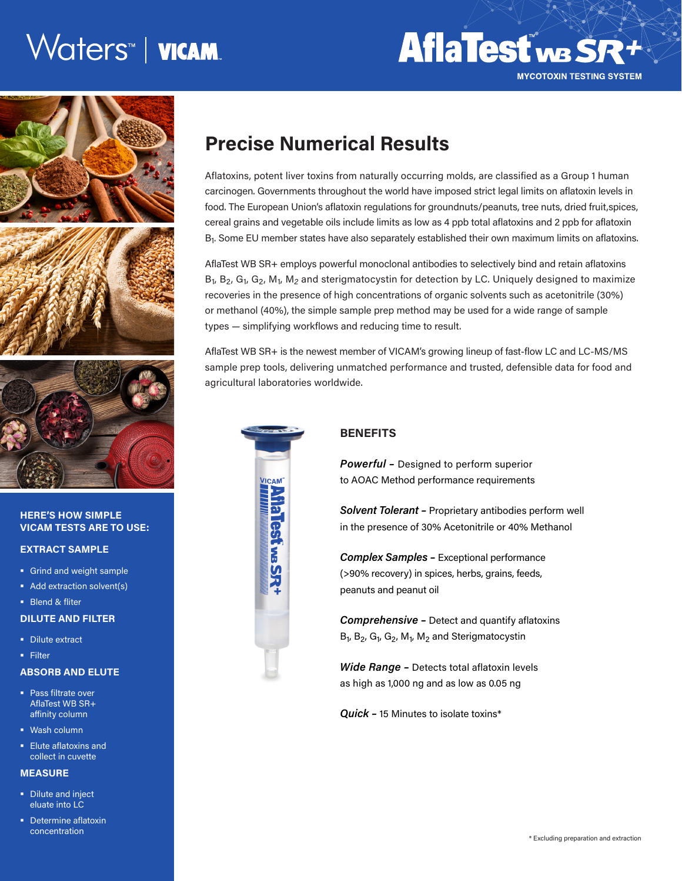# Waters™ | wcam.



### **HERE'S HOW SIMPLE VICAM TESTS ARE TO USE:**

### **EXTRACT SAMPLE**

- Grind and weight sample
- Add extraction solvent(s)
- **Blend & fliter**

### **DILUTE AND FILTER**

- **Dilute extract**
- Filter

### **ABSORB AND ELUTE**

- **Pass filtrate over** AflaTest WB SR+ affinity column
- Wash column
- **Elute aflatoxins and** collect in cuvette

### **MEASURE**

- **Dilute and inject** eluate into LC
- **Determine aflatoxin** concentration

## **Precise Numerical Results**

Aflatoxins, potent liver toxins from naturally occurring molds, are classified as a Group 1 human carcinogen. Governments throughout the world have imposed strict legal limits on aflatoxin levels in food. The European Union's aflatoxin regulations for groundnuts/peanuts, tree nuts, dried fruit,spices, cereal grains and vegetable oils include limits as low as 4 ppb total aflatoxins and 2 ppb for aflatoxin  $B<sub>1</sub>$ . Some EU member states have also separately established their own maximum limits on aflatoxins.

AflaTest WB SR+ employs powerful monoclonal antibodies to selectively bind and retain aflatoxins B<sub>1</sub>, B<sub>2</sub>, G<sub>1</sub>, G<sub>2</sub>, M<sub>1</sub>, M<sub>2</sub> and sterigmatocystin for detection by LC. Uniquely designed to maximize recoveries in the presence of high concentrations of organic solvents such as acetonitrile (30%) or methanol (40%), the simple sample prep method may be used for a wide range of sample types — simplifying workflows and reducing time to result.

AflaTest WB SR+ is the newest member of VICAM's growing lineup of fast-flow LC and LC-MS/MS sample prep tools, delivering unmatched performance and trusted, defensible data for food and agricultural laboratories worldwide.



### **BENEFITS**

*Powerful –* Designed to perform superior to AOAC Method performance requirements

*Solvent Tolerant –* Proprietary antibodies perform well in the presence of 30% Acetonitrile or 40% Methanol

*Complex Samples –* Exceptional performance (>90% recovery) in spices, herbs, grains, feeds, peanuts and peanut oil

*Comprehensive –* Detect and quantify aflatoxins  $B_1$ ,  $B_2$ ,  $G_1$ ,  $G_2$ ,  $M_1$ ,  $M_2$  and Sterigmatocystin

*Wide Range –* Detects total aflatoxin levels as high as 1,000 ng and as low as 0.05 ng

*Quick –* 15 Minutes to isolate toxins\*